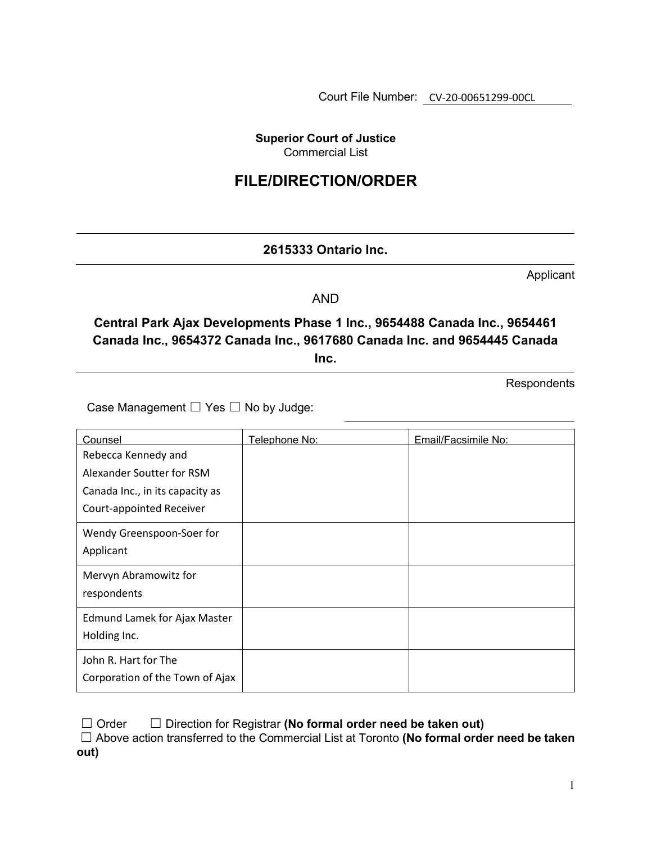Court File Number: CV-20-00651299-00CL

**Superior Court of Justice**  Commercial List

## **FILE/DIRECTION/ORDER**

## **2615333 Ontario Inc.**

Applicant

AND

**Central Park Ajax Developments Phase 1 Inc., 9654488 Canada Inc., 9654461 Canada Inc., 9654372 Canada Inc., 9617680 Canada Inc. and 9654445 Canada Inc.**

**Respondents** 

Case Management  $\Box$  Yes  $\Box$  No by Judge:

| Counsel                         | <u>Telephone No:</u> | Email/Facsimile No: |
|---------------------------------|----------------------|---------------------|
| Rebecca Kennedy and             |                      |                     |
| Alexander Soutter for RSM       |                      |                     |
| Canada Inc., in its capacity as |                      |                     |
| Court-appointed Receiver        |                      |                     |
| Wendy Greenspoon-Soer for       |                      |                     |
| Applicant                       |                      |                     |
| Mervyn Abramowitz for           |                      |                     |
| respondents                     |                      |                     |
| Edmund Lamek for Ajax Master    |                      |                     |
| Holding Inc.                    |                      |                     |
| John R. Hart for The            |                      |                     |
| Corporation of the Town of Ajax |                      |                     |

☐ Order ☐ Direction for Registrar **(No formal order need be taken out)**

☐ Above action transferred to the Commercial List at Toronto **(No formal order need be taken out)**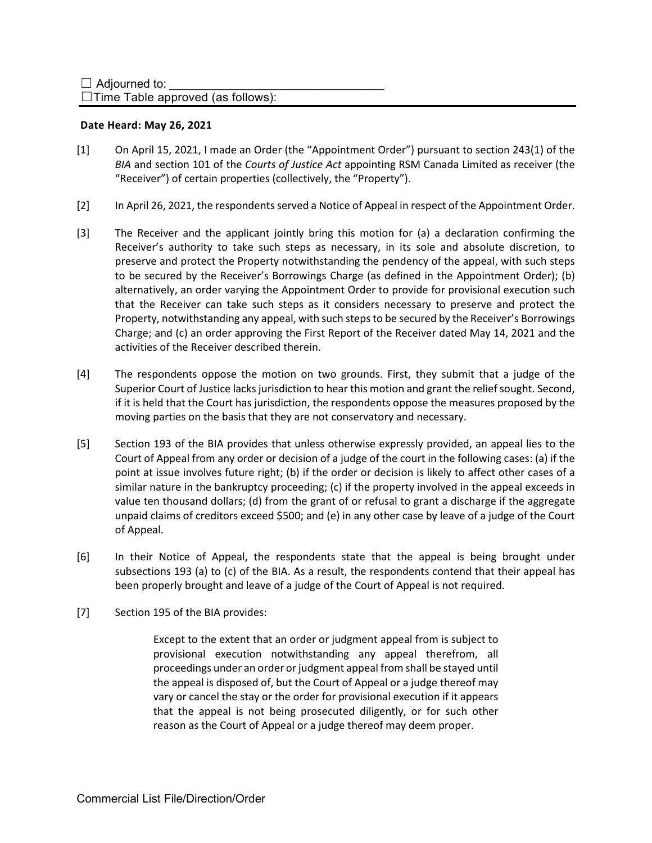$\Box$ Time Table approved (as follows):

## **Date Heard: May 26, 2021**

- [1] On April 15, 2021, I made an Order (the "Appointment Order") pursuant to section 243(1) of the *BIA* and section 101 of the *Courts of Justice Act* appointing RSM Canada Limited as receiver (the "Receiver") of certain properties (collectively, the "Property").
- [2] In April 26, 2021, the respondents served a Notice of Appeal in respect of the Appointment Order.
- [3] The Receiver and the applicant jointly bring this motion for (a) a declaration confirming the Receiver's authority to take such steps as necessary, in its sole and absolute discretion, to preserve and protect the Property notwithstanding the pendency of the appeal, with such steps to be secured by the Receiver's Borrowings Charge (as defined in the Appointment Order); (b) alternatively, an order varying the Appointment Order to provide for provisional execution such that the Receiver can take such steps as it considers necessary to preserve and protect the Property, notwithstanding any appeal, with such steps to be secured by the Receiver's Borrowings Charge; and (c) an order approving the First Report of the Receiver dated May 14, 2021 and the activities of the Receiver described therein.
- [4] The respondents oppose the motion on two grounds. First, they submit that a judge of the Superior Court of Justice lacks jurisdiction to hear this motion and grant the relief sought. Second, if it is held that the Court has jurisdiction, the respondents oppose the measures proposed by the moving parties on the basis that they are not conservatory and necessary.
- [5] Section 193 of the BIA provides that unless otherwise expressly provided, an appeal lies to the Court of Appeal from any order or decision of a judge of the court in the following cases: (a) if the point at issue involves future right; (b) if the order or decision is likely to affect other cases of a similar nature in the bankruptcy proceeding; (c) if the property involved in the appeal exceeds in value ten thousand dollars; (d) from the grant of or refusal to grant a discharge if the aggregate unpaid claims of creditors exceed \$500; and (e) in any other case by leave of a judge of the Court of Appeal.
- [6] In their Notice of Appeal, the respondents state that the appeal is being brought under subsections 193 (a) to (c) of the BIA. As a result, the respondents contend that their appeal has been properly brought and leave of a judge of the Court of Appeal is not required.
- [7] Section 195 of the BIA provides:

Except to the extent that an order or judgment appeal from is subject to provisional execution notwithstanding any appeal therefrom, all proceedings under an order or judgment appeal from shall be stayed until the appeal is disposed of, but the Court of Appeal or a judge thereof may vary or cancel the stay or the order for provisional execution if it appears that the appeal is not being prosecuted diligently, or for such other reason as the Court of Appeal or a judge thereof may deem proper.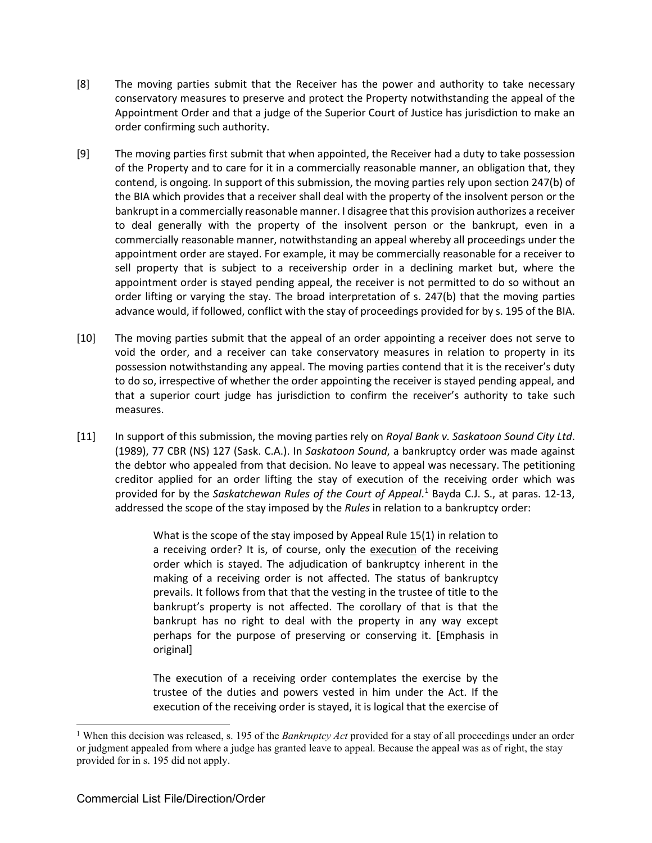- [8] The moving parties submit that the Receiver has the power and authority to take necessary conservatory measures to preserve and protect the Property notwithstanding the appeal of the Appointment Order and that a judge of the Superior Court of Justice has jurisdiction to make an order confirming such authority.
- [9] The moving parties first submit that when appointed, the Receiver had a duty to take possession of the Property and to care for it in a commercially reasonable manner, an obligation that, they contend, is ongoing. In support of this submission, the moving parties rely upon section 247(b) of the BIA which provides that a receiver shall deal with the property of the insolvent person or the bankrupt in a commercially reasonable manner. I disagree that this provision authorizes a receiver to deal generally with the property of the insolvent person or the bankrupt, even in a commercially reasonable manner, notwithstanding an appeal whereby all proceedings under the appointment order are stayed. For example, it may be commercially reasonable for a receiver to sell property that is subject to a receivership order in a declining market but, where the appointment order is stayed pending appeal, the receiver is not permitted to do so without an order lifting or varying the stay. The broad interpretation of s. 247(b) that the moving parties advance would, if followed, conflict with the stay of proceedings provided for by s. 195 of the BIA.
- [10] The moving parties submit that the appeal of an order appointing a receiver does not serve to void the order, and a receiver can take conservatory measures in relation to property in its possession notwithstanding any appeal. The moving parties contend that it is the receiver's duty to do so, irrespective of whether the order appointing the receiver is stayed pending appeal, and that a superior court judge has jurisdiction to confirm the receiver's authority to take such measures.
- [11] In support of this submission, the moving parties rely on *Royal Bank v. Saskatoon Sound City Ltd*. (1989), 77 CBR (NS) 127 (Sask. C.A.). In *Saskatoon Sound*, a bankruptcy order was made against the debtor who appealed from that decision. No leave to appeal was necessary. The petitioning creditor applied for an order lifting the stay of execution of the receiving order which was provided for by the *Saskatchewan Rules of the Court of Appeal*.<sup>[1](#page-2-0)</sup> Bayda C.J. S., at paras. 12-13, addressed the scope of the stay imposed by the *Rules* in relation to a bankruptcy order:

What is the scope of the stay imposed by Appeal Rule 15(1) in relation to a receiving order? It is, of course, only the execution of the receiving order which is stayed. The adjudication of bankruptcy inherent in the making of a receiving order is not affected. The status of bankruptcy prevails. It follows from that that the vesting in the trustee of title to the bankrupt's property is not affected. The corollary of that is that the bankrupt has no right to deal with the property in any way except perhaps for the purpose of preserving or conserving it. [Emphasis in original]

The execution of a receiving order contemplates the exercise by the trustee of the duties and powers vested in him under the Act. If the execution of the receiving order is stayed, it is logical that the exercise of

<span id="page-2-0"></span><sup>1</sup> When this decision was released, s. 195 of the *Bankruptcy Act* provided for a stay of all proceedings under an order or judgment appealed from where a judge has granted leave to appeal. Because the appeal was as of right, the stay provided for in s. 195 did not apply.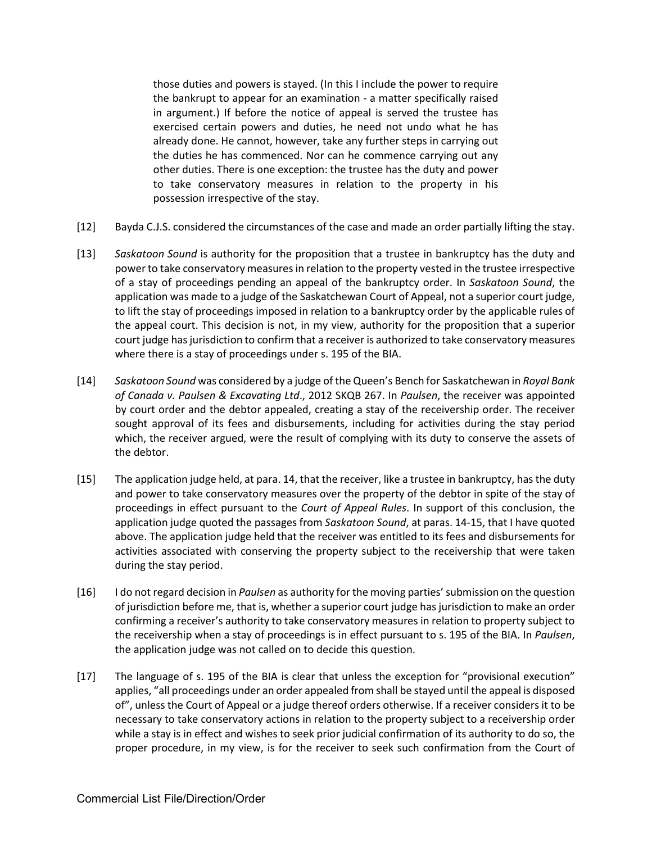those duties and powers is stayed. (In this I include the power to require the bankrupt to appear for an examination - a matter specifically raised in argument.) If before the notice of appeal is served the trustee has exercised certain powers and duties, he need not undo what he has already done. He cannot, however, take any further steps in carrying out the duties he has commenced. Nor can he commence carrying out any other duties. There is one exception: the trustee has the duty and power to take conservatory measures in relation to the property in his possession irrespective of the stay.

- [12] Bayda C.J.S. considered the circumstances of the case and made an order partially lifting the stay.
- [13] *Saskatoon Sound* is authority for the proposition that a trustee in bankruptcy has the duty and power to take conservatory measures in relation to the property vested in the trustee irrespective of a stay of proceedings pending an appeal of the bankruptcy order. In *Saskatoon Sound*, the application was made to a judge of the Saskatchewan Court of Appeal, not a superior court judge, to lift the stay of proceedings imposed in relation to a bankruptcy order by the applicable rules of the appeal court. This decision is not, in my view, authority for the proposition that a superior court judge has jurisdiction to confirm that a receiver is authorized to take conservatory measures where there is a stay of proceedings under s. 195 of the BIA.
- [14] *Saskatoon Sound* was considered by a judge of the Queen's Bench for Saskatchewan in *Royal Bank of Canada v. Paulsen & Excavating Ltd*., 2012 SKQB 267. In *Paulsen*, the receiver was appointed by court order and the debtor appealed, creating a stay of the receivership order. The receiver sought approval of its fees and disbursements, including for activities during the stay period which, the receiver argued, were the result of complying with its duty to conserve the assets of the debtor.
- [15] The application judge held, at para. 14, that the receiver, like a trustee in bankruptcy, has the duty and power to take conservatory measures over the property of the debtor in spite of the stay of proceedings in effect pursuant to the *Court of Appeal Rules*. In support of this conclusion, the application judge quoted the passages from *Saskatoon Sound*, at paras. 14-15, that I have quoted above. The application judge held that the receiver was entitled to its fees and disbursements for activities associated with conserving the property subject to the receivership that were taken during the stay period.
- [16] I do not regard decision in *Paulsen* as authority for the moving parties' submission on the question of jurisdiction before me, that is, whether a superior court judge has jurisdiction to make an order confirming a receiver's authority to take conservatory measures in relation to property subject to the receivership when a stay of proceedings is in effect pursuant to s. 195 of the BIA. In *Paulsen*, the application judge was not called on to decide this question.
- [17] The language of s. 195 of the BIA is clear that unless the exception for "provisional execution" applies, "all proceedings under an order appealed from shall be stayed until the appeal is disposed of", unless the Court of Appeal or a judge thereof orders otherwise. If a receiver considers it to be necessary to take conservatory actions in relation to the property subject to a receivership order while a stay is in effect and wishes to seek prior judicial confirmation of its authority to do so, the proper procedure, in my view, is for the receiver to seek such confirmation from the Court of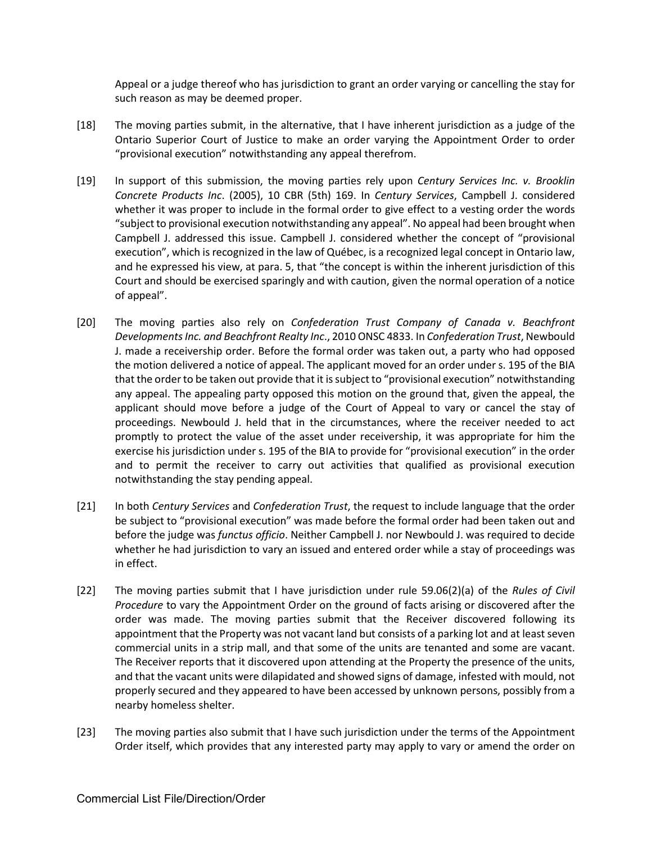Appeal or a judge thereof who has jurisdiction to grant an order varying or cancelling the stay for such reason as may be deemed proper.

- [18] The moving parties submit, in the alternative, that I have inherent jurisdiction as a judge of the Ontario Superior Court of Justice to make an order varying the Appointment Order to order "provisional execution" notwithstanding any appeal therefrom.
- [19] In support of this submission, the moving parties rely upon *Century Services Inc. v. Brooklin Concrete Products Inc*. (2005), 10 CBR (5th) 169. In *Century Services*, Campbell J. considered whether it was proper to include in the formal order to give effect to a vesting order the words "subject to provisional execution notwithstanding any appeal". No appeal had been brought when Campbell J. addressed this issue. Campbell J. considered whether the concept of "provisional execution", which is recognized in the law of Québec, is a recognized legal concept in Ontario law, and he expressed his view, at para. 5, that "the concept is within the inherent jurisdiction of this Court and should be exercised sparingly and with caution, given the normal operation of a notice of appeal".
- [20] The moving parties also rely on *Confederation Trust Company of Canada v. Beachfront Developments Inc. and Beachfront Realty Inc*., 2010 ONSC 4833. In *Confederation Trust*, Newbould J. made a receivership order. Before the formal order was taken out, a party who had opposed the motion delivered a notice of appeal. The applicant moved for an order under s. 195 of the BIA that the order to be taken out provide that it is subject to "provisional execution" notwithstanding any appeal. The appealing party opposed this motion on the ground that, given the appeal, the applicant should move before a judge of the Court of Appeal to vary or cancel the stay of proceedings. Newbould J. held that in the circumstances, where the receiver needed to act promptly to protect the value of the asset under receivership, it was appropriate for him the exercise his jurisdiction under s. 195 of the BIA to provide for "provisional execution" in the order and to permit the receiver to carry out activities that qualified as provisional execution notwithstanding the stay pending appeal.
- [21] In both *Century Services* and *Confederation Trust*, the request to include language that the order be subject to "provisional execution" was made before the formal order had been taken out and before the judge was *functus officio*. Neither Campbell J. nor Newbould J. was required to decide whether he had jurisdiction to vary an issued and entered order while a stay of proceedings was in effect.
- [22] The moving parties submit that I have jurisdiction under rule 59.06(2)(a) of the *Rules of Civil Procedure* to vary the Appointment Order on the ground of facts arising or discovered after the order was made. The moving parties submit that the Receiver discovered following its appointment that the Property was not vacant land but consists of a parking lot and at least seven commercial units in a strip mall, and that some of the units are tenanted and some are vacant. The Receiver reports that it discovered upon attending at the Property the presence of the units, and that the vacant units were dilapidated and showed signs of damage, infested with mould, not properly secured and they appeared to have been accessed by unknown persons, possibly from a nearby homeless shelter.
- [23] The moving parties also submit that I have such jurisdiction under the terms of the Appointment Order itself, which provides that any interested party may apply to vary or amend the order on